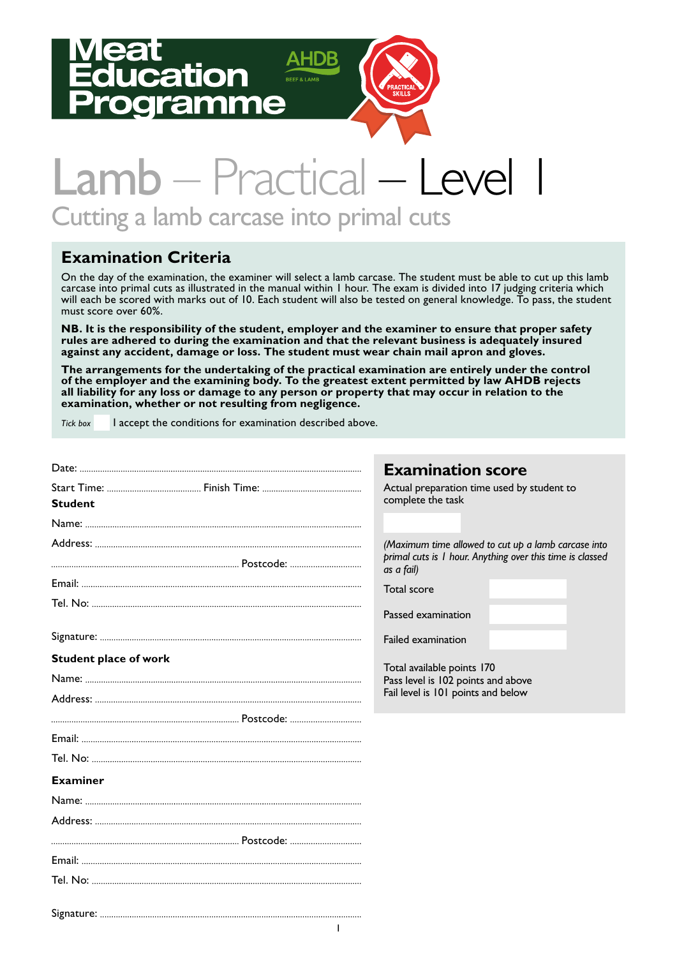# ation



# Lamb – Practical – Level Cutting a lamb carcase into primal cuts

#### **Examination Criteria**

On the day of the examination, the examiner will select a lamb carcase. The student must be able to cut up this lamb carcase into primal cuts as illustrated in the manual within 1 hour. The exam is divided into 17 judging criteria which will each be scored with marks out of 10. Each student will also be tested on general knowledge. To pass, the student must score over 60%.

**NB. It is the responsibility of the student, employer and the examiner to ensure that proper safety rules are adhered to during the examination and that the relevant business is adequately insured against any accident, damage or loss. The student must wear chain mail apron and gloves.** 

**The arrangements for the undertaking of the practical examination are entirely under the control of the employer and the examining body. To the greatest extent permitted by law AHDB rejects all liability for any loss or damage to any person or property that may occur in relation to the examination, whether or not resulting from negligence.**

*Tick box* I accept the conditions for examination described above.

|                              | <b>Examination score</b>                                                                                                                      |
|------------------------------|-----------------------------------------------------------------------------------------------------------------------------------------------|
| <b>Student</b>               | Actual preparation time used by student to<br>complete the task                                                                               |
|                              |                                                                                                                                               |
|                              | (Maximum time allowed to cut up a lamb carcase into<br>primal cuts is 1 hour. Anything over this time is classed<br>as a fail)<br>Total score |
|                              | Passed examination                                                                                                                            |
|                              | Failed examination                                                                                                                            |
| <b>Student place of work</b> | Total available points 170<br>Pass level is 102 points and above<br>Fail level is 101 points and below                                        |
|                              |                                                                                                                                               |
|                              |                                                                                                                                               |
|                              |                                                                                                                                               |
| <b>Examiner</b>              |                                                                                                                                               |
|                              |                                                                                                                                               |
|                              |                                                                                                                                               |
|                              |                                                                                                                                               |
|                              |                                                                                                                                               |
|                              |                                                                                                                                               |
|                              |                                                                                                                                               |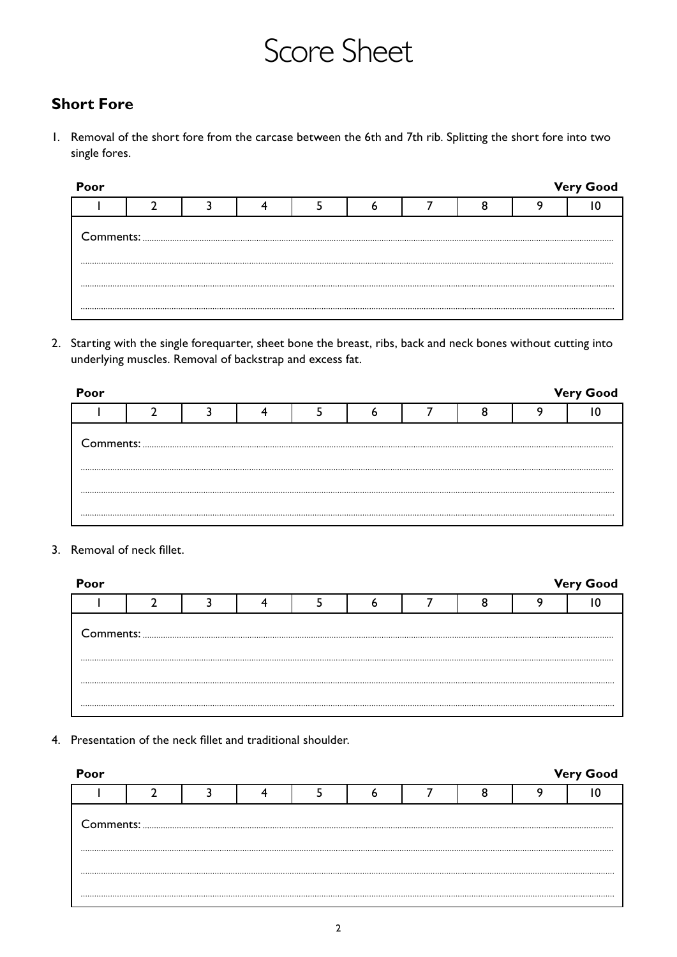# Score Sheet

#### **Short Fore**

1. Removal of the short fore from the carcase between the 6th and 7th rib. Splitting the short fore into two single fores.

| Poor |  |  |  |  | <b>Very Good</b> |
|------|--|--|--|--|------------------|
|      |  |  |  |  |                  |
|      |  |  |  |  |                  |
|      |  |  |  |  |                  |
|      |  |  |  |  |                  |

2. Starting with the single forequarter, sheet bone the breast, ribs, back and neck bones without cutting into underlying muscles. Removal of backstrap and excess fat.

| Poor |  |  |  |  | <b>Very Good</b> |
|------|--|--|--|--|------------------|
|      |  |  |  |  |                  |
|      |  |  |  |  |                  |
|      |  |  |  |  |                  |

3. Removal of neck fillet.

| Poor |  |  |  |  | <b>Very Good</b> |
|------|--|--|--|--|------------------|
|      |  |  |  |  |                  |
|      |  |  |  |  |                  |
|      |  |  |  |  |                  |
|      |  |  |  |  |                  |

4. Presentation of the neck fillet and traditional shoulder.

| Poor |  |  |  |  | <b>Very Good</b> |
|------|--|--|--|--|------------------|
|      |  |  |  |  |                  |
|      |  |  |  |  |                  |
|      |  |  |  |  |                  |
|      |  |  |  |  |                  |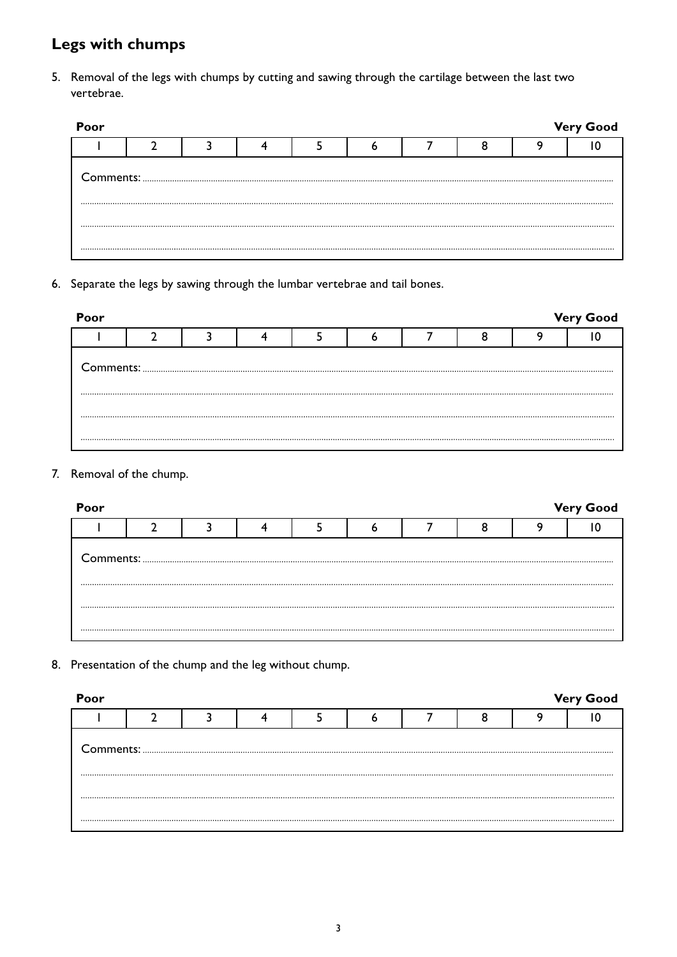## **Legs with chumps**

5. Removal of the legs with chumps by cutting and sawing through the cartilage between the last two vertebrae.

| Poor |  |  |  |  | <b>Very Good</b> |
|------|--|--|--|--|------------------|
|      |  |  |  |  |                  |
|      |  |  |  |  |                  |
|      |  |  |  |  |                  |
|      |  |  |  |  |                  |

6. Separate the legs by sawing through the lumbar vertebrae and tail bones.

| Poor |  |  |  |  | <b>Very Good</b> |
|------|--|--|--|--|------------------|
|      |  |  |  |  |                  |
|      |  |  |  |  |                  |
|      |  |  |  |  |                  |
|      |  |  |  |  |                  |

#### 7. Removal of the chump.

| Poor |  |  |  |  | <b>Very Good</b> |
|------|--|--|--|--|------------------|
|      |  |  |  |  |                  |
|      |  |  |  |  |                  |
|      |  |  |  |  |                  |
|      |  |  |  |  |                  |

8. Presentation of the chump and the leg without chump.

| Poor                                                                                                                                                                                                                                                                                                                                                                                                                                                                                              |  |  |  |  |  |  |  |  | <b>Very Good</b> |  |  |
|---------------------------------------------------------------------------------------------------------------------------------------------------------------------------------------------------------------------------------------------------------------------------------------------------------------------------------------------------------------------------------------------------------------------------------------------------------------------------------------------------|--|--|--|--|--|--|--|--|------------------|--|--|
|                                                                                                                                                                                                                                                                                                                                                                                                                                                                                                   |  |  |  |  |  |  |  |  |                  |  |  |
| ${\small \begin{minipage}{14cm} \begin{tabular}{ c c c c c } \hline \textbf{Comments:} & \textbf{\textit{3}} & \textbf{\textit{5}} & \textbf{\textit{6}} & \textbf{\textit{7}} & \textbf{\textit{8}} & \textbf{\textit{8}} & \textbf{\textit{9}} & \textbf{\textit{1}} & \textbf{\textit{1}} & \textbf{\textit{1}} & \textbf{\textit{1}} & \textbf{\textit{1}} & \textbf{\textit{1}} & \textbf{\textit{1}} & \textbf{\textit{1}} & \textbf{\textit{1}} & \textbf{\textit{1}} & \textbf{\textit{1$ |  |  |  |  |  |  |  |  |                  |  |  |
|                                                                                                                                                                                                                                                                                                                                                                                                                                                                                                   |  |  |  |  |  |  |  |  |                  |  |  |
|                                                                                                                                                                                                                                                                                                                                                                                                                                                                                                   |  |  |  |  |  |  |  |  |                  |  |  |
|                                                                                                                                                                                                                                                                                                                                                                                                                                                                                                   |  |  |  |  |  |  |  |  |                  |  |  |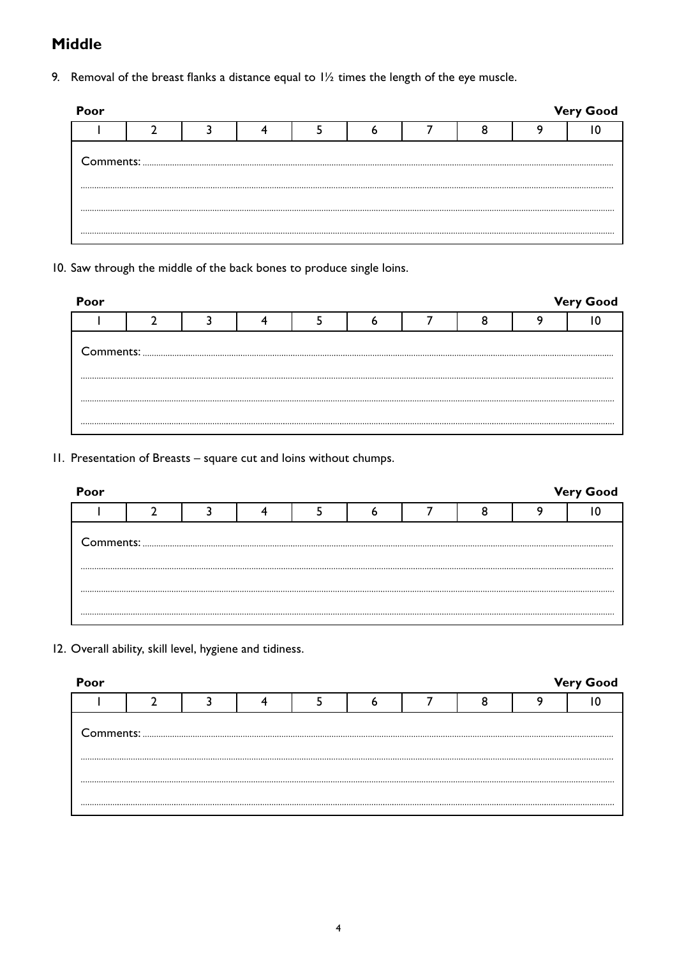#### **Middle**

9. Removal of the breast flanks a distance equal to  $1\frac{1}{2}$  times the length of the eye muscle.

| Poor |  |  |  |  |  |  |  |  | <b>Very Good</b> |  |  |
|------|--|--|--|--|--|--|--|--|------------------|--|--|
|      |  |  |  |  |  |  |  |  |                  |  |  |
|      |  |  |  |  |  |  |  |  |                  |  |  |
|      |  |  |  |  |  |  |  |  |                  |  |  |
|      |  |  |  |  |  |  |  |  |                  |  |  |
|      |  |  |  |  |  |  |  |  |                  |  |  |

10. Saw through the middle of the back bones to produce single loins.

| Poor |  |  |  |  | <b>Very Good</b> |
|------|--|--|--|--|------------------|
|      |  |  |  |  |                  |
|      |  |  |  |  |                  |
|      |  |  |  |  |                  |
|      |  |  |  |  |                  |

11. Presentation of Breasts – square cut and loins without chumps.

| Poor                                                                                                                                                                                                                                                                                                                                                                                                                                              |  |  |  |  |  |  |  |  | <b>Very Good</b> |  |
|---------------------------------------------------------------------------------------------------------------------------------------------------------------------------------------------------------------------------------------------------------------------------------------------------------------------------------------------------------------------------------------------------------------------------------------------------|--|--|--|--|--|--|--|--|------------------|--|
|                                                                                                                                                                                                                                                                                                                                                                                                                                                   |  |  |  |  |  |  |  |  |                  |  |
| ${\small \begin{minipage}{14cm} \begin{tabular}{l} \textbf{Comments:} \end{tabular} \end{minipage}} \begin{minipage}{0.99\textwidth} \begin{tabular}{l} \textbf{1} & \textbf{2} & \textbf{3} & \textbf{4} & \textbf{5} & \textbf{5} & \textbf{6} & \textbf{7} & \textbf{8} & \textbf{9} & \textbf{10} & \textbf{10} & \textbf{10} & \textbf{10} & \textbf{10} & \textbf{10} & \textbf{10} & \textbf{10} & \textbf{10} & \textbf{10} & \textbf{10$ |  |  |  |  |  |  |  |  |                  |  |
|                                                                                                                                                                                                                                                                                                                                                                                                                                                   |  |  |  |  |  |  |  |  |                  |  |
|                                                                                                                                                                                                                                                                                                                                                                                                                                                   |  |  |  |  |  |  |  |  |                  |  |

12. Overall ability, skill level, hygiene and tidiness.

| <b>Very Good</b><br>Poor |  |  |  |  |  |  |  |  |  |  |
|--------------------------|--|--|--|--|--|--|--|--|--|--|
|                          |  |  |  |  |  |  |  |  |  |  |
|                          |  |  |  |  |  |  |  |  |  |  |
|                          |  |  |  |  |  |  |  |  |  |  |
|                          |  |  |  |  |  |  |  |  |  |  |
|                          |  |  |  |  |  |  |  |  |  |  |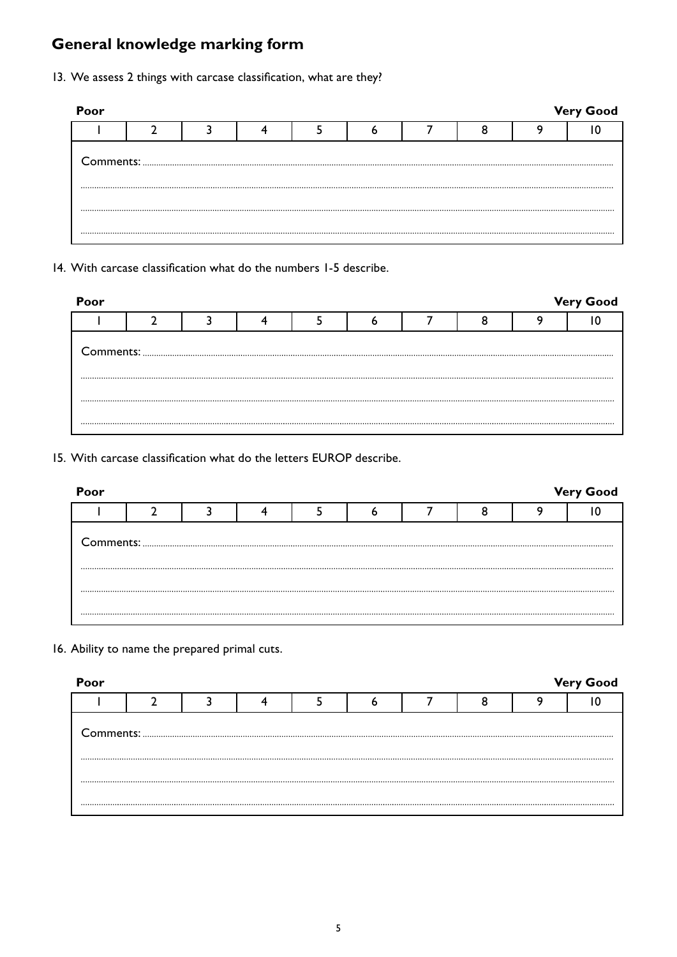### **General knowledge marking form**

13. We assess 2 things with carcase classification, what are they?

| Poor |  |  |  |  | <b>Very Good</b> |
|------|--|--|--|--|------------------|
|      |  |  |  |  |                  |
|      |  |  |  |  |                  |
|      |  |  |  |  |                  |

14. With carcase classification what do the numbers 1-5 describe.

| Poor |  |  |  |  | <b>Very Good</b> |
|------|--|--|--|--|------------------|
|      |  |  |  |  |                  |
|      |  |  |  |  |                  |
|      |  |  |  |  |                  |
|      |  |  |  |  |                  |

15. With carcase classification what do the letters EUROP describe.

| Poor |  |  |  |  |  |  |  |  | <b>Very Good</b> |  |
|------|--|--|--|--|--|--|--|--|------------------|--|
|      |  |  |  |  |  |  |  |  |                  |  |
|      |  |  |  |  |  |  |  |  |                  |  |
|      |  |  |  |  |  |  |  |  |                  |  |

16. Ability to name the prepared primal cuts.

| Poor<br><b>Very Good</b> |  |  |  |  |  |  |  |  |  |  |
|--------------------------|--|--|--|--|--|--|--|--|--|--|
|                          |  |  |  |  |  |  |  |  |  |  |
|                          |  |  |  |  |  |  |  |  |  |  |
|                          |  |  |  |  |  |  |  |  |  |  |
|                          |  |  |  |  |  |  |  |  |  |  |
|                          |  |  |  |  |  |  |  |  |  |  |